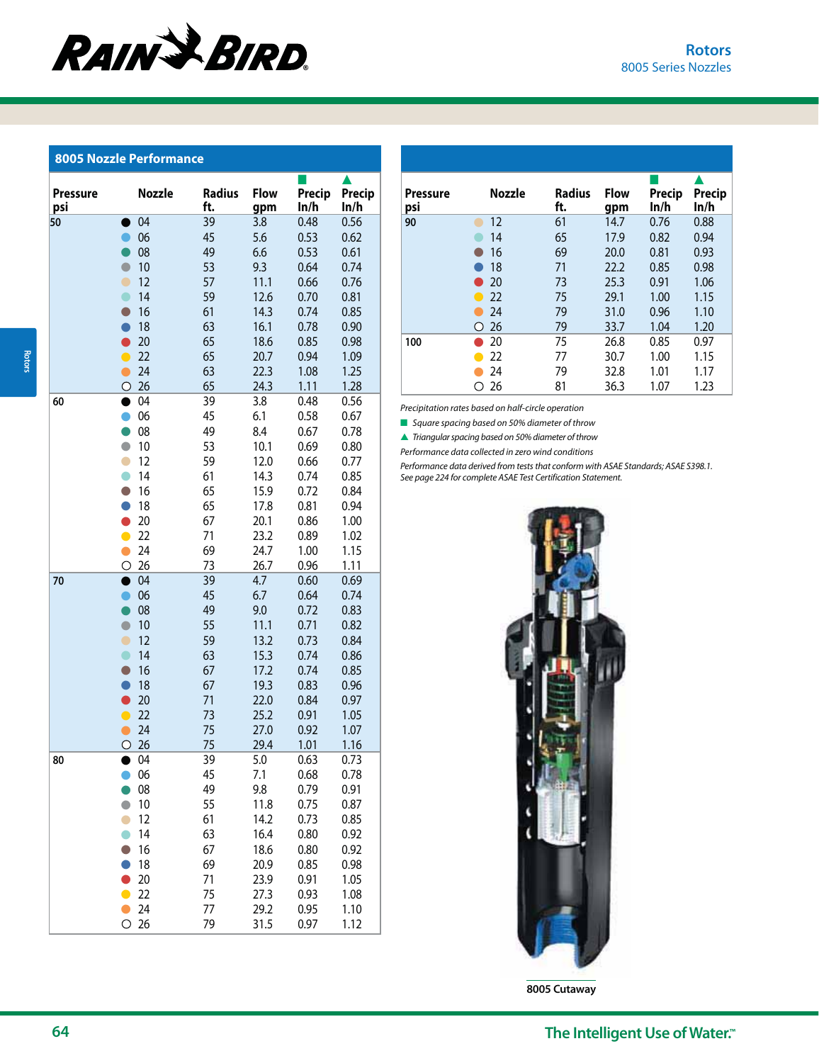## **RAIN & BIRD**

## **8005 Nozzle Performance**

| <b>Pressure</b><br>psi | <b>Nozzle</b> | <b>Radius</b><br>ft. | <b>Flow</b><br>gpm | Precip<br>In/h | Precip<br>ln/h |  |  |
|------------------------|---------------|----------------------|--------------------|----------------|----------------|--|--|
| 50                     | 04            | 39                   | 3.8                | 0.48           | 0.56           |  |  |
|                        | 06            | 45                   | 5.6                | 0.53           | 0.62           |  |  |
|                        | 08            | 49                   | 6.6                | 0.53           | 0.61           |  |  |
| $\bullet$              | 10            | 53                   | 9.3                | 0.64           | 0.74           |  |  |
| $\bullet$              | 12            | 57                   | 11.1               | 0.66           | 0.76           |  |  |
| $\bullet$              | 14            | 59                   | 12.6               | 0.70           | 0.81           |  |  |
| $\bullet$              | 16            | 61                   | 14.3               | 0.74           | 0.85           |  |  |
| A                      | 18            | 63                   | 16.1               | 0.78           | 0.90           |  |  |
|                        | 20            | 65                   | 18.6               | 0.85           | 0.98           |  |  |
| $\bullet$              | 22            | 65                   | 20.7               | 0.94           | 1.09           |  |  |
| $\bullet$              | 24            | 63                   | 22.3               | 1.08           | 1.25           |  |  |
| $\circ$                | 26            | 65                   | 24.3               | 1.11           | 1.28           |  |  |
| 60<br>$\bullet$        | 04            | 39                   | 3.8                | 0.48           | 0.56           |  |  |
| A                      | 06            | 45                   | 6.1                | 0.58           | 0.67           |  |  |
|                        | 08            | 49                   | 8.4                | 0.67           | 0.78           |  |  |
| $\bullet$              | 10            | 53                   | 10.1               | 0.69           | 0.80           |  |  |
| $\bullet$              | 12            | 59                   | 12.0               | 0.66           | 0.77           |  |  |
| $\bullet$              | 14            | 61                   | 14.3               | 0.74           | 0.85           |  |  |
| $\Box$                 | 16            | 65                   | 15.9               | 0.72           | 0.84           |  |  |
| A                      | 18<br>20      | 65                   | 17.8               | 0.81           | 0.94           |  |  |
| $\bullet$              | 22            | 67<br>71             | 20.1<br>23.2       | 0.86<br>0.89   | 1.00<br>1.02   |  |  |
| $\bullet$              | 24            | 69                   | 24.7               | 1.00           | 1.15           |  |  |
| О                      | 26            | 73                   | 26.7               | 0.96           | 1.11           |  |  |
| 70<br>●                | 04            | 39                   | 4.7                | 0.60           | 0.69           |  |  |
| C                      | 06            | 45                   | 6.7                | 0.64           | 0.74           |  |  |
|                        | 08            | 49                   | 9.0                | 0.72           | 0.83           |  |  |
| $\bullet$              | 10            | 55                   | 11.1               | 0.71           | 0.82           |  |  |
| $\bullet$              | 12            | 59                   | 13.2               | 0.73           | 0.84           |  |  |
| $\bullet$              | 14            | 63                   | 15.3               | 0.74           | 0.86           |  |  |
| $\bullet$              | 16            | 67                   | 17.2               | 0.74           | 0.85           |  |  |
| A                      | 18            | 67                   | 19.3               | 0.83           | 0.96           |  |  |
|                        | 20            | 71                   | 22.0               | 0.84           | 0.97           |  |  |
| $\bullet$              | 22            | 73                   | 25.2               | 0.91           | 1.05           |  |  |
| $\bullet$              | 24            | 75                   | 27.0               | 0.92           | 1.07           |  |  |
| $\circ$                | 26            | 75                   | 29.4               | 1.01           | 1.16           |  |  |
| 80                     | 04            | 39                   | 5.0                | 0.63           | 0.73           |  |  |
| O                      | 06            | 45                   | 7.1                | 0.68           | 0.78           |  |  |
|                        | 08            | 49                   | 9.8                | 0.79           | 0.91           |  |  |
| $\bullet$              | 10            | 55                   | 11.8               | 0.75           | 0.87           |  |  |
| $\bullet$              | 12            | 61                   | 14.2               | 0.73           | 0.85           |  |  |
| $\bullet$              | 14            | 63                   | 16.4               | 0.80           | 0.92           |  |  |
| O                      | 16            | 67                   | 18.6               | 0.80           | 0.92           |  |  |
|                        | 18            | 69                   | 20.9               | 0.85           | 0.98           |  |  |
|                        | 20            | 71                   | 23.9               | 0.91           | 1.05           |  |  |
| $\bullet$              | 22            | 75                   | 27.3               | 0.93           | 1.08           |  |  |
| O                      | 24            | 77                   | 29.2               | 0.95           | 1.10           |  |  |
| О                      | 26            | 79                   | 31.5               | 0.97           | 1.12           |  |  |

| <b>Pressure</b><br>psi | Nozzle          | <b>Radius</b><br>ft. | <b>Flow</b><br>gpm | Precip<br>ln/h | Precip<br>ln/h |
|------------------------|-----------------|----------------------|--------------------|----------------|----------------|
| 90                     | 12              | 61                   | 14.7               | 0.76           | 0.88           |
|                        | 14              | 65                   | 17.9               | 0.82           | 0.94           |
|                        | 16              | 69                   | 20.0               | 0.81           | 0.93           |
|                        | 18              | 71                   | 22.2               | 0.85           | 0.98           |
|                        | 20              | 73                   | 25.3               | 0.91           | 1.06           |
|                        | 22              | 75                   | 29.1               | 1.00           | 1.15           |
|                        | 24              | 79                   | 31.0               | 0.96           | 1.10           |
|                        | 26<br>$\bigcap$ | 79                   | 33.7               | 1.04           | 1.20           |
| 100                    | 20              | 75                   | 26.8               | 0.85           | 0.97           |
|                        | 22              | 77                   | 30.7               | 1.00           | 1.15           |
|                        | 24              | 79                   | 32.8               | 1.01           | 1.17           |
|                        | 26              | 81                   | 36.3               | 1.07           | 1.23           |

Precipitation rates based on half-circle operation

■ Square spacing based on 50% diameter of throw

 $\blacktriangle$  Triangular spacing based on 50% diameter of throw

Performance data collected in zero wind conditions

Performance data derived from tests that conform with ASAE Standards; ASAE S398.1. See page 224 for complete ASAE Test Certification Statement.



**8005 Cutaway**